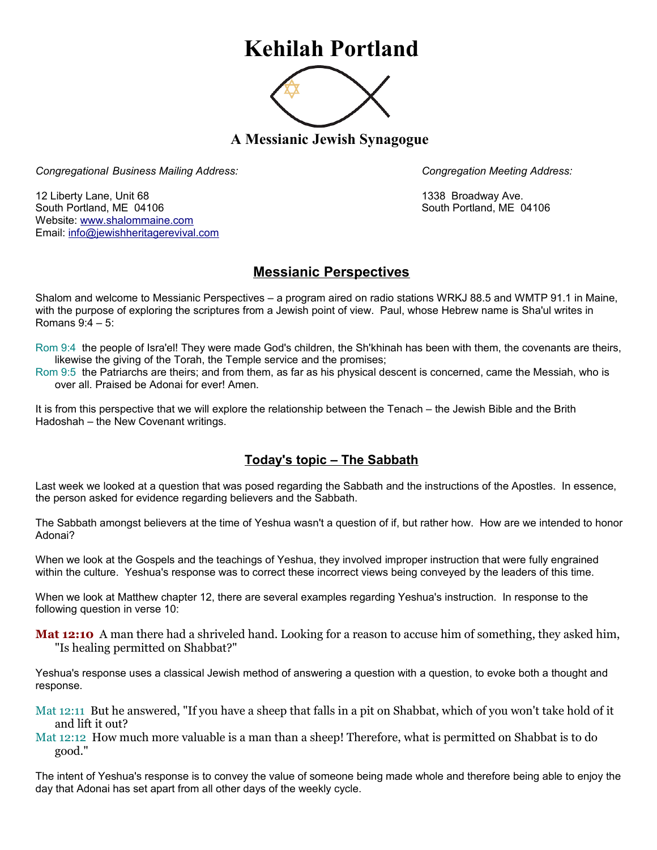# **Kehilah Portland**



**A Messianic Jewish Synagogue** 

*Congregational Business Mailing Address: Congregation Meeting Address:*

12 Liberty Lane, Unit 68 1338 Broadway Ave. South Portland, ME 04106 South Portland, ME 04106 Website: [www.shalommaine.com](http://www.shalommaine.com/) Email: [info@jewishheritagerevival.com](mailto:info@jewishheritagerevival.com) 

# **Messianic Perspectives**

Shalom and welcome to Messianic Perspectives – a program aired on radio stations WRKJ 88.5 and WMTP 91.1 in Maine, with the purpose of exploring the scriptures from a Jewish point of view. Paul, whose Hebrew name is Sha'ul writes in Romans 9:4 – 5:

Rom 9:4 the people of Isra'el! They were made God's children, the Sh'khinah has been with them, the covenants are theirs, likewise the giving of the Torah, the Temple service and the promises;

Rom 9:5 the Patriarchs are theirs; and from them, as far as his physical descent is concerned, came the Messiah, who is over all. Praised be Adonai for ever! Amen.

It is from this perspective that we will explore the relationship between the Tenach – the Jewish Bible and the Brith Hadoshah – the New Covenant writings.

# **Today's topic – The Sabbath**

Last week we looked at a question that was posed regarding the Sabbath and the instructions of the Apostles. In essence, the person asked for evidence regarding believers and the Sabbath.

The Sabbath amongst believers at the time of Yeshua wasn't a question of if, but rather how. How are we intended to honor Adonai?

When we look at the Gospels and the teachings of Yeshua, they involved improper instruction that were fully engrained within the culture. Yeshua's response was to correct these incorrect views being conveyed by the leaders of this time.

When we look at Matthew chapter 12, there are several examples regarding Yeshua's instruction. In response to the following question in verse 10:

**Mat 12:10** A man there had a shriveled hand. Looking for a reason to accuse him of something, they asked him, "Is healing permitted on Shabbat?"

Yeshua's response uses a classical Jewish method of answering a question with a question, to evoke both a thought and response.

Mat 12:11 But he answered, "If you have a sheep that falls in a pit on Shabbat, which of you won't take hold of it and lift it out?

Mat 12:12 How much more valuable is a man than a sheep! Therefore, what is permitted on Shabbat is to do good."

The intent of Yeshua's response is to convey the value of someone being made whole and therefore being able to enjoy the day that Adonai has set apart from all other days of the weekly cycle.